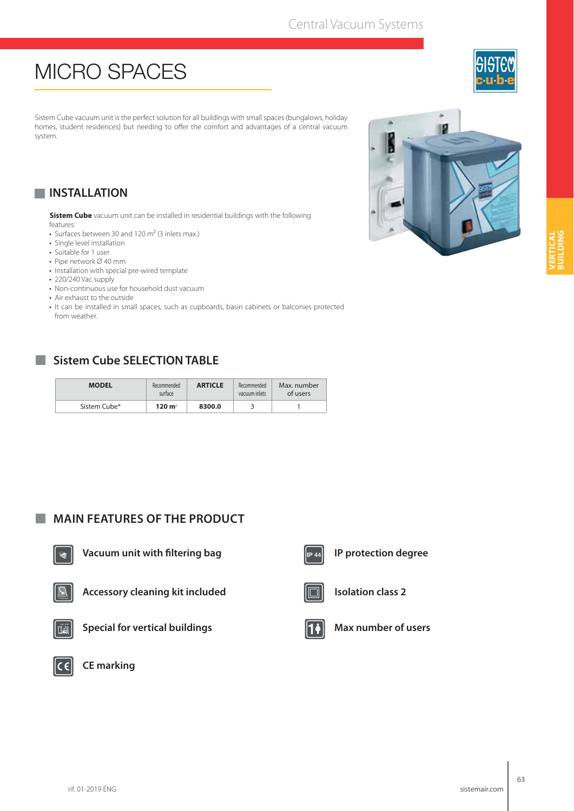## Central Vacuum Systems

## **MICRO SPACES**

Sistem Cube vacuum unit is the perfect solution for all buildings with small spaces (bungalows, holiday homes, student residences) but needing to offer the comfort and advantages of a central vacuum system.

## **INSTALLATION**

**Sistem Cube** vacuum unit can be installed in residential buildings with the following features:

- Surfaces between 30 and 120  $m<sup>2</sup>$  (3 inlets max.)
- Single level installation
- Suitable for 1 user
- Pipe network Ø 40 mm
- Installation with special pre-wired template
- 220/240 Vac supply
- Non-continuous use for household dust vacuum
- Air exhaust to the outside
- It can be installed in small spaces, such as cupboards, basin cabinets or balconies protected from weather.

## **Sistem Cube SELECTION TABLE**

| <b>MODEL</b> | Recommended<br>surface | <b>ARTICLE</b> | Recommended<br>vacuum inlets | Max. number<br>of users |
|--------------|------------------------|----------------|------------------------------|-------------------------|
| Sistem Cube* | $120 \, \text{m}^2$    | 8300.0         |                              |                         |

## **MAIN FEATURES OF THE PRODUCT**



**Vacuum unit with filtering bag** 



**Accessory cleaning kit included**



**Special for vertical buildings**







**IP protection degree**



**Isolation class 2**



**Max number of users**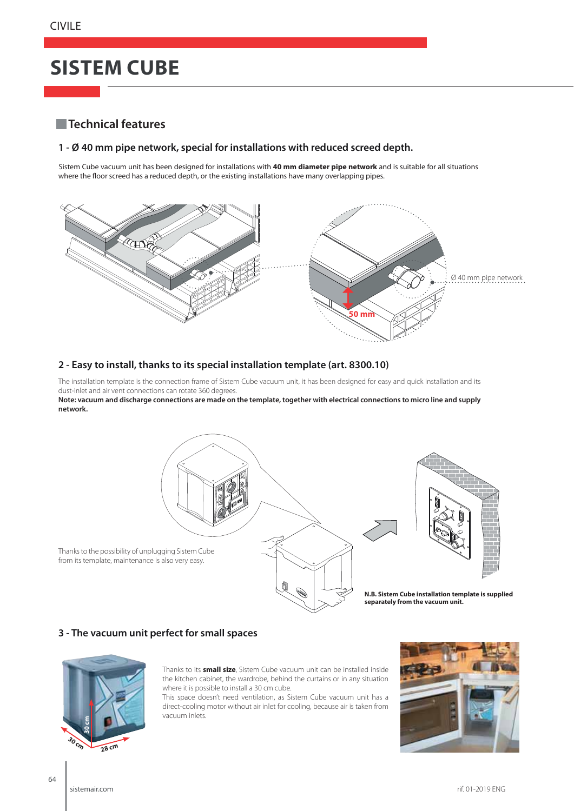# **SISTEM CUBE**

### **Technical features**

#### **1 - Ø 40 mm pipe network, special for installations with reduced screed depth.**

Sistem Cube vacuum unit has been designed for installations with **40 mm diameter pipe network** and is suitable for all situations where the floor screed has a reduced depth, or the existing installations have many overlapping pipes.



#### **2 - Easy to install, thanks to its special installation template (art. 8300.10)**

The installation template is the connection frame of Sistem Cube vacuum unit, it has been designed for easy and quick installation and its dust-inlet and air vent connections can rotate 360 degrees.

**Note: vacuum and discharge connections are made on the template, together with electrical connections to micro line and supply network.**



### **3 - The vacuum unit perfect for small spaces**



Thanks to its **small size**, Sistem Cube vacuum unit can be installed inside the kitchen cabinet, the wardrobe, behind the curtains or in any situation where it is possible to install a 30 cm cube.

This space doesn't need ventilation, as Sistem Cube vacuum unit has a direct-cooling motor without air inlet for cooling, because air is taken from vacuum inlets.

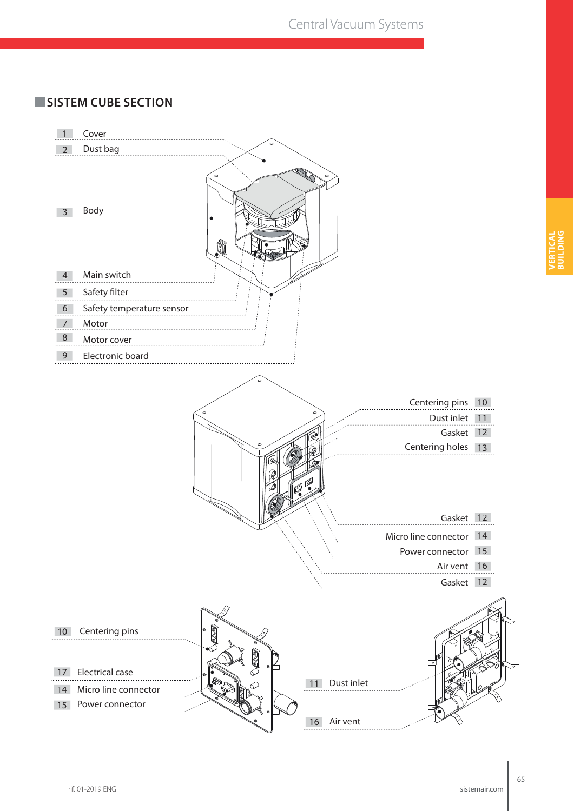## **SISTEM CUBE SECTION**

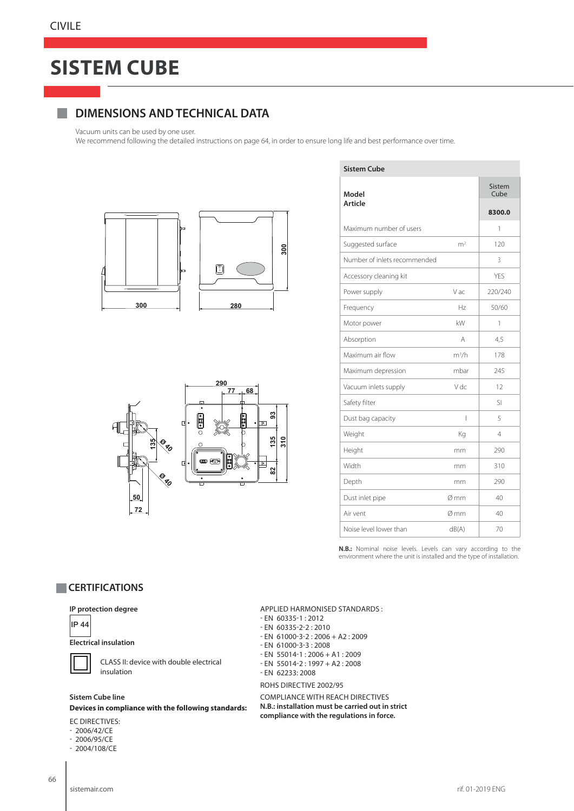## **SISTEM CUBE**

## **DIMENSIONS AND TECHNICAL DATA**

Vacuum units can be used by one user.

We recommend following the detailed instructions on page 64, in order to ensure long life and best performance over time.

**Sistem Cube**





| Sistem Cube                  |         |  |  |  |
|------------------------------|---------|--|--|--|
| Model<br>Article             |         |  |  |  |
|                              |         |  |  |  |
| Maximum number of users      |         |  |  |  |
| m <sup>2</sup>               | 120     |  |  |  |
| Number of inlets recommended |         |  |  |  |
|                              | YFS     |  |  |  |
| Vac                          | 220/240 |  |  |  |
| Hz                           | 50/60   |  |  |  |
| kW                           | 1       |  |  |  |
| А                            | 4,5     |  |  |  |
| $m^3/h$                      | 178     |  |  |  |
| mbar                         | 245     |  |  |  |
| V dc                         | 12      |  |  |  |
|                              | SI      |  |  |  |
| I                            | 5       |  |  |  |
| Kg                           | 4       |  |  |  |
| mm                           | 290     |  |  |  |
| mm                           | 310     |  |  |  |
| mm                           | 290     |  |  |  |
| Ø mm                         | 40      |  |  |  |
| Ø mm                         | 40      |  |  |  |
| dB(A)                        | 70      |  |  |  |
|                              |         |  |  |  |

**N.B.:** Nominal noise levels. Levels can vary according to the environment where the unit is installed and the type of installation.

### **CERTIFICATIONS**

#### **IP protection degree**



#### **Electrical insulation**

 CLASS II: device with double electrical insulation

#### **Sistem Cube line**

**Devices in compliance with the following standards:**

#### EC DIRECTIVES:

- 2006/42/CE
- 2006/95/CE
- 2004/108/CE

- EN 60335-1 : 2012 - EN 60335-2-2 : 2010 - EN 61000-3-2 : 2006 + A2 : 2009

APPLIED HARMONISED STANDARDS :

- EN 61000-3-3 : 2008
- EN 55014-1 : 2006 + A1 : 2009
- EN 55014-2 : 1997 + A2 : 2008
- EN 62233: 2008

#### ROHS DIRECTIVE 2002/95

COMPLIANCE WITH REACH DIRECTIVES **N.B.: installation must be carried out in strict compliance with the regulations in force.**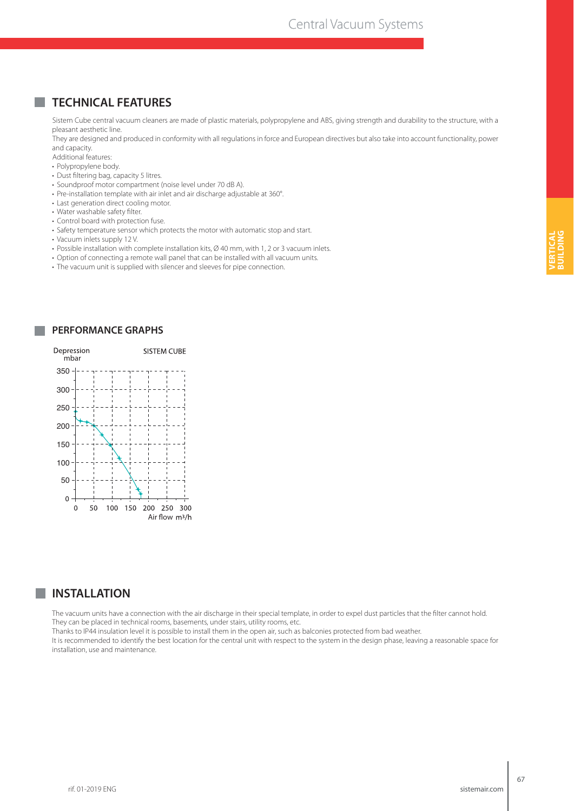### **TECHNICAL FEATURES**

Sistem Cube central vacuum cleaners are made of plastic materials, polypropylene and ABS, giving strength and durability to the structure, with a pleasant aesthetic line.

They are designed and produced in conformity with all regulations in force and European directives but also take into account functionality, power and capacity.

Additional features:

- Polypropylene body.
- Dust filtering bag, capacity 5 litres.
- Soundproof motor compartment (noise level under 70 dB A).
- Pre-installation template with air inlet and air discharge adjustable at 360°.
- Last generation direct cooling motor.
- Water washable safety filter.
- Control board with protection fuse.
- Safety temperature sensor which protects the motor with automatic stop and start.
- Vacuum inlets supply 12 V.
- Possible installation with complete installation kits, Ø 40 mm, with 1, 2 or 3 vacuum inlets.
- Option of connecting a remote wall panel that can be installed with all vacuum units.
- The vacuum unit is supplied with silencer and sleeves for pipe connection.



#### **INSTALLATION**

The vacuum units have a connection with the air discharge in their special template, in order to expel dust particles that the filter cannot hold. They can be placed in technical rooms, basements, under stairs, utility rooms, etc.

Thanks to IP44 insulation level it is possible to install them in the open air, such as balconies protected from bad weather.

It is recommended to identify the best location for the central unit with respect to the system in the design phase, leaving a reasonable space for installation, use and maintenance.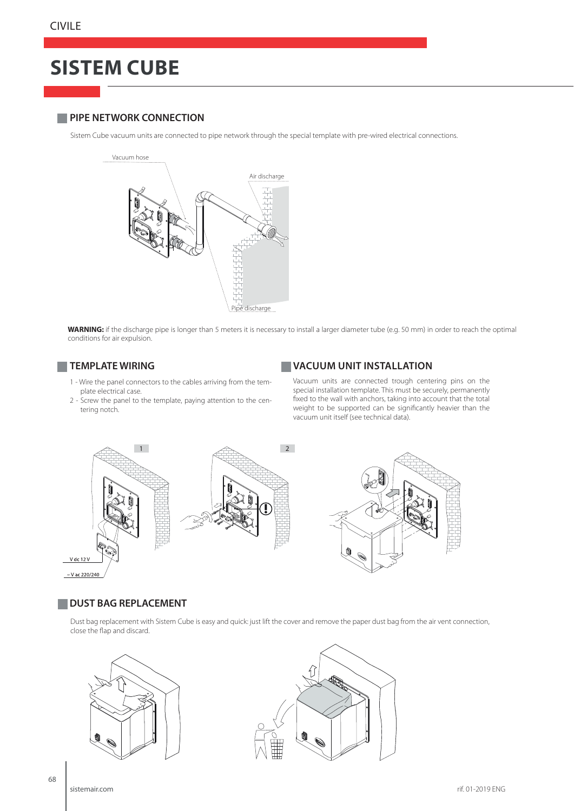# **SISTEM CUBE**

#### **PIPE NETWORK CONNECTION**

Sistem Cube vacuum units are connected to pipe network through the special template with pre-wired electrical connections.



**WARNING:** if the discharge pipe is longer than 5 meters it is necessary to install a larger diameter tube (e.g. 50 mm) in order to reach the optimal conditions for air expulsion.

- 1 Wire the panel connectors to the cables arriving from the template electrical case.
- 2 Screw the panel to the template, paying attention to the centering notch.

#### **TEMPLATE WIRING VACUUM UNIT INSTALLATION**

Vacuum units are connected trough centering pins on the special installation template. This must be securely, permanently fixed to the wall with anchors, taking into account that the total weight to be supported can be significantly heavier than the vacuum unit itself (see technical data).



#### **DUST BAG REPLACEMENT**

Dust bag replacement with Sistem Cube is easy and quick: just lift the cover and remove the paper dust bag from the air vent connection, close the flap and discard.